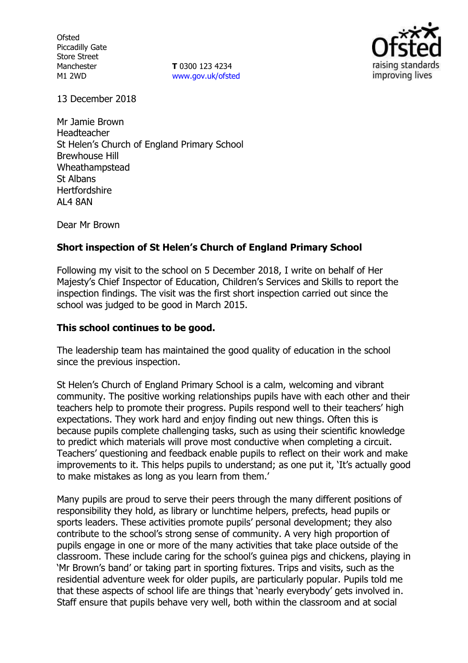**Ofsted** Piccadilly Gate Store Street Manchester M1 2WD

**T** 0300 123 4234 www.gov.uk/ofsted



13 December 2018

Mr Jamie Brown Headteacher St Helen's Church of England Primary School Brewhouse Hill Wheathampstead St Albans **Hertfordshire** AL4 8AN

Dear Mr Brown

### **Short inspection of St Helen's Church of England Primary School**

Following my visit to the school on 5 December 2018, I write on behalf of Her Majesty's Chief Inspector of Education, Children's Services and Skills to report the inspection findings. The visit was the first short inspection carried out since the school was judged to be good in March 2015.

#### **This school continues to be good.**

The leadership team has maintained the good quality of education in the school since the previous inspection.

St Helen's Church of England Primary School is a calm, welcoming and vibrant community. The positive working relationships pupils have with each other and their teachers help to promote their progress. Pupils respond well to their teachers' high expectations. They work hard and enjoy finding out new things. Often this is because pupils complete challenging tasks, such as using their scientific knowledge to predict which materials will prove most conductive when completing a circuit. Teachers' questioning and feedback enable pupils to reflect on their work and make improvements to it. This helps pupils to understand; as one put it, 'It's actually good to make mistakes as long as you learn from them.'

Many pupils are proud to serve their peers through the many different positions of responsibility they hold, as library or lunchtime helpers, prefects, head pupils or sports leaders. These activities promote pupils' personal development; they also contribute to the school's strong sense of community. A very high proportion of pupils engage in one or more of the many activities that take place outside of the classroom. These include caring for the school's guinea pigs and chickens, playing in 'Mr Brown's band' or taking part in sporting fixtures. Trips and visits, such as the residential adventure week for older pupils, are particularly popular. Pupils told me that these aspects of school life are things that 'nearly everybody' gets involved in. Staff ensure that pupils behave very well, both within the classroom and at social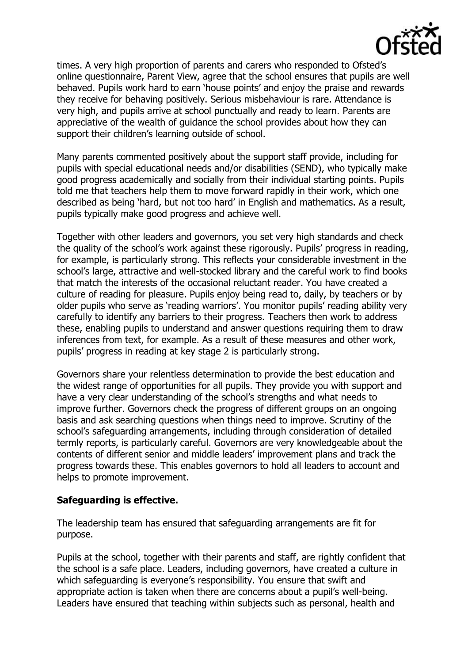

times. A very high proportion of parents and carers who responded to Ofsted's online questionnaire, Parent View, agree that the school ensures that pupils are well behaved. Pupils work hard to earn 'house points' and enjoy the praise and rewards they receive for behaving positively. Serious misbehaviour is rare. Attendance is very high, and pupils arrive at school punctually and ready to learn. Parents are appreciative of the wealth of guidance the school provides about how they can support their children's learning outside of school.

Many parents commented positively about the support staff provide, including for pupils with special educational needs and/or disabilities (SEND), who typically make good progress academically and socially from their individual starting points. Pupils told me that teachers help them to move forward rapidly in their work, which one described as being 'hard, but not too hard' in English and mathematics. As a result, pupils typically make good progress and achieve well.

Together with other leaders and governors, you set very high standards and check the quality of the school's work against these rigorously. Pupils' progress in reading, for example, is particularly strong. This reflects your considerable investment in the school's large, attractive and well-stocked library and the careful work to find books that match the interests of the occasional reluctant reader. You have created a culture of reading for pleasure. Pupils enjoy being read to, daily, by teachers or by older pupils who serve as 'reading warriors'. You monitor pupils' reading ability very carefully to identify any barriers to their progress. Teachers then work to address these, enabling pupils to understand and answer questions requiring them to draw inferences from text, for example. As a result of these measures and other work, pupils' progress in reading at key stage 2 is particularly strong.

Governors share your relentless determination to provide the best education and the widest range of opportunities for all pupils. They provide you with support and have a very clear understanding of the school's strengths and what needs to improve further. Governors check the progress of different groups on an ongoing basis and ask searching questions when things need to improve. Scrutiny of the school's safeguarding arrangements, including through consideration of detailed termly reports, is particularly careful. Governors are very knowledgeable about the contents of different senior and middle leaders' improvement plans and track the progress towards these. This enables governors to hold all leaders to account and helps to promote improvement.

### **Safeguarding is effective.**

The leadership team has ensured that safeguarding arrangements are fit for purpose.

Pupils at the school, together with their parents and staff, are rightly confident that the school is a safe place. Leaders, including governors, have created a culture in which safeguarding is everyone's responsibility. You ensure that swift and appropriate action is taken when there are concerns about a pupil's well-being. Leaders have ensured that teaching within subjects such as personal, health and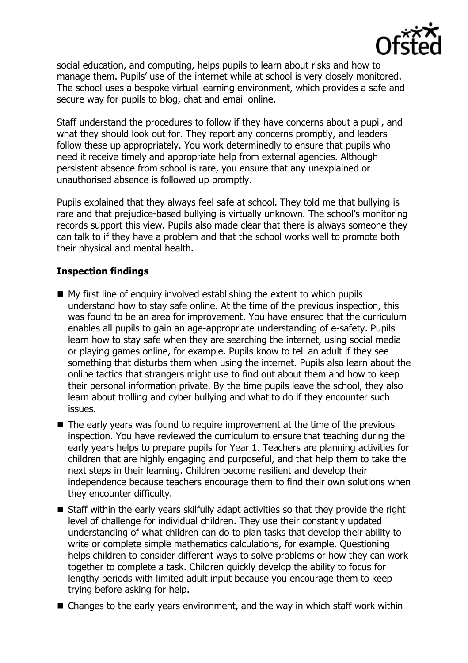

social education, and computing, helps pupils to learn about risks and how to manage them. Pupils' use of the internet while at school is very closely monitored. The school uses a bespoke virtual learning environment, which provides a safe and secure way for pupils to blog, chat and email online.

Staff understand the procedures to follow if they have concerns about a pupil, and what they should look out for. They report any concerns promptly, and leaders follow these up appropriately. You work determinedly to ensure that pupils who need it receive timely and appropriate help from external agencies. Although persistent absence from school is rare, you ensure that any unexplained or unauthorised absence is followed up promptly.

Pupils explained that they always feel safe at school. They told me that bullying is rare and that prejudice-based bullying is virtually unknown. The school's monitoring records support this view. Pupils also made clear that there is always someone they can talk to if they have a problem and that the school works well to promote both their physical and mental health.

# **Inspection findings**

- $\blacksquare$  My first line of enquiry involved establishing the extent to which pupils understand how to stay safe online. At the time of the previous inspection, this was found to be an area for improvement. You have ensured that the curriculum enables all pupils to gain an age-appropriate understanding of e-safety. Pupils learn how to stay safe when they are searching the internet, using social media or playing games online, for example. Pupils know to tell an adult if they see something that disturbs them when using the internet. Pupils also learn about the online tactics that strangers might use to find out about them and how to keep their personal information private. By the time pupils leave the school, they also learn about trolling and cyber bullying and what to do if they encounter such issues.
- $\blacksquare$  The early years was found to require improvement at the time of the previous inspection. You have reviewed the curriculum to ensure that teaching during the early years helps to prepare pupils for Year 1. Teachers are planning activities for children that are highly engaging and purposeful, and that help them to take the next steps in their learning. Children become resilient and develop their independence because teachers encourage them to find their own solutions when they encounter difficulty.
- Staff within the early years skilfully adapt activities so that they provide the right level of challenge for individual children. They use their constantly updated understanding of what children can do to plan tasks that develop their ability to write or complete simple mathematics calculations, for example. Questioning helps children to consider different ways to solve problems or how they can work together to complete a task. Children quickly develop the ability to focus for lengthy periods with limited adult input because you encourage them to keep trying before asking for help.
- Changes to the early years environment, and the way in which staff work within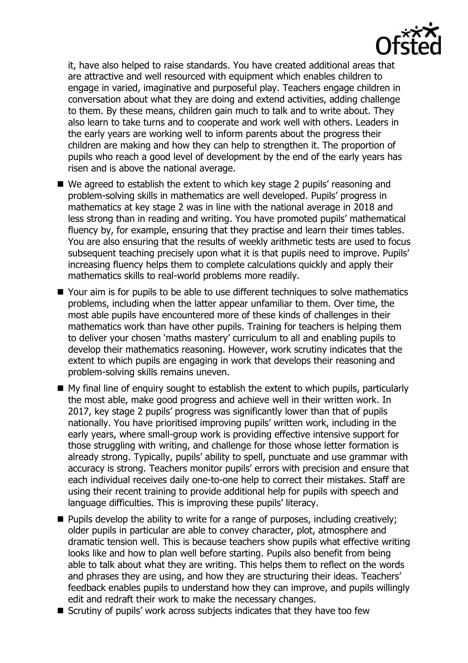

it, have also helped to raise standards. You have created additional areas that are attractive and well resourced with equipment which enables children to engage in varied, imaginative and purposeful play. Teachers engage children in conversation about what they are doing and extend activities, adding challenge to them. By these means, children gain much to talk and to write about. They also learn to take turns and to cooperate and work well with others. Leaders in the early years are working well to inform parents about the progress their children are making and how they can help to strengthen it. The proportion of pupils who reach a good level of development by the end of the early years has risen and is above the national average.

- We agreed to establish the extent to which key stage 2 pupils' reasoning and problem-solving skills in mathematics are well developed. Pupils' progress in mathematics at key stage 2 was in line with the national average in 2018 and less strong than in reading and writing. You have promoted pupils' mathematical fluency by, for example, ensuring that they practise and learn their times tables. You are also ensuring that the results of weekly arithmetic tests are used to focus subsequent teaching precisely upon what it is that pupils need to improve. Pupils' increasing fluency helps them to complete calculations quickly and apply their mathematics skills to real-world problems more readily.
- Your aim is for pupils to be able to use different techniques to solve mathematics problems, including when the latter appear unfamiliar to them. Over time, the most able pupils have encountered more of these kinds of challenges in their mathematics work than have other pupils. Training for teachers is helping them to deliver your chosen 'maths mastery' curriculum to all and enabling pupils to develop their mathematics reasoning. However, work scrutiny indicates that the extent to which pupils are engaging in work that develops their reasoning and problem-solving skills remains uneven.
- $\blacksquare$  My final line of enquiry sought to establish the extent to which pupils, particularly the most able, make good progress and achieve well in their written work. In 2017, key stage 2 pupils' progress was significantly lower than that of pupils nationally. You have prioritised improving pupils' written work, including in the early years, where small-group work is providing effective intensive support for those struggling with writing, and challenge for those whose letter formation is already strong. Typically, pupils' ability to spell, punctuate and use grammar with accuracy is strong. Teachers monitor pupils' errors with precision and ensure that each individual receives daily one-to-one help to correct their mistakes. Staff are using their recent training to provide additional help for pupils with speech and language difficulties. This is improving these pupils' literacy.
- $\blacksquare$  Pupils develop the ability to write for a range of purposes, including creatively; older pupils in particular are able to convey character, plot, atmosphere and dramatic tension well. This is because teachers show pupils what effective writing looks like and how to plan well before starting. Pupils also benefit from being able to talk about what they are writing. This helps them to reflect on the words and phrases they are using, and how they are structuring their ideas. Teachers' feedback enables pupils to understand how they can improve, and pupils willingly edit and redraft their work to make the necessary changes.
- Scrutiny of pupils' work across subjects indicates that they have too few